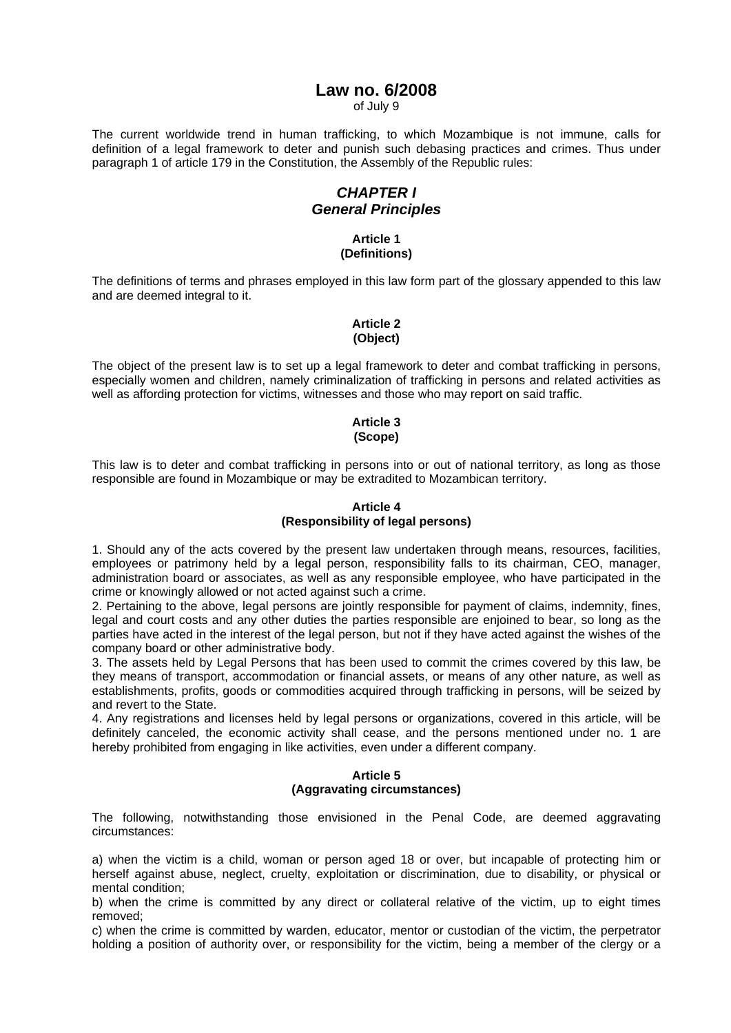## **Law no. 6/2008**

of July 9

The current worldwide trend in human trafficking, to which Mozambique is not immune, calls for definition of a legal framework to deter and punish such debasing practices and crimes. Thus under paragraph 1 of article 179 in the Constitution, the Assembly of the Republic rules:

# *CHAPTER I General Principles*

#### **Article 1 (Definitions)**

The definitions of terms and phrases employed in this law form part of the glossary appended to this law and are deemed integral to it.

## **Article 2 (Object)**

The object of the present law is to set up a legal framework to deter and combat trafficking in persons, especially women and children, namely criminalization of trafficking in persons and related activities as well as affording protection for victims, witnesses and those who may report on said traffic.

#### **Article 3 (Scope)**

This law is to deter and combat trafficking in persons into or out of national territory, as long as those responsible are found in Mozambique or may be extradited to Mozambican territory.

## **Article 4 (Responsibility of legal persons)**

1. Should any of the acts covered by the present law undertaken through means, resources, facilities, employees or patrimony held by a legal person, responsibility falls to its chairman, CEO, manager, administration board or associates, as well as any responsible employee, who have participated in the crime or knowingly allowed or not acted against such a crime.

2. Pertaining to the above, legal persons are jointly responsible for payment of claims, indemnity, fines, legal and court costs and any other duties the parties responsible are enjoined to bear, so long as the parties have acted in the interest of the legal person, but not if they have acted against the wishes of the company board or other administrative body.

3. The assets held by Legal Persons that has been used to commit the crimes covered by this law, be they means of transport, accommodation or financial assets, or means of any other nature, as well as establishments, profits, goods or commodities acquired through trafficking in persons, will be seized by and revert to the State.

4. Any registrations and licenses held by legal persons or organizations, covered in this article, will be definitely canceled, the economic activity shall cease, and the persons mentioned under no. 1 are hereby prohibited from engaging in like activities, even under a different company.

#### **Article 5 (Aggravating circumstances)**

The following, notwithstanding those envisioned in the Penal Code, are deemed aggravating circumstances:

a) when the victim is a child, woman or person aged 18 or over, but incapable of protecting him or herself against abuse, neglect, cruelty, exploitation or discrimination, due to disability, or physical or mental condition;

b) when the crime is committed by any direct or collateral relative of the victim, up to eight times removed;

c) when the crime is committed by warden, educator, mentor or custodian of the victim, the perpetrator holding a position of authority over, or responsibility for the victim, being a member of the clergy or a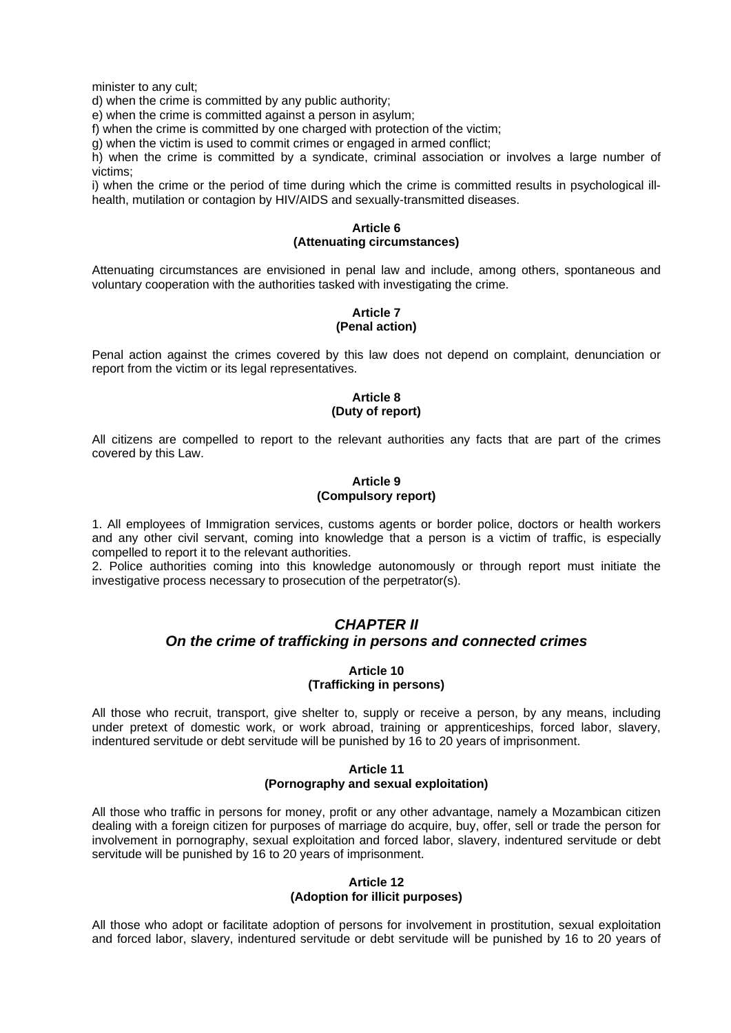minister to any cult;

d) when the crime is committed by any public authority;

e) when the crime is committed against a person in asylum;

f) when the crime is committed by one charged with protection of the victim;

 $\alpha$ ) when the victim is used to commit crimes or engaged in armed conflict:

h) when the crime is committed by a syndicate, criminal association or involves a large number of victims;

i) when the crime or the period of time during which the crime is committed results in psychological illhealth, mutilation or contagion by HIV/AIDS and sexually-transmitted diseases.

#### **Article 6 (Attenuating circumstances)**

Attenuating circumstances are envisioned in penal law and include, among others, spontaneous and voluntary cooperation with the authorities tasked with investigating the crime.

#### **Article 7 (Penal action)**

Penal action against the crimes covered by this law does not depend on complaint, denunciation or report from the victim or its legal representatives.

#### **Article 8 (Duty of report)**

All citizens are compelled to report to the relevant authorities any facts that are part of the crimes covered by this Law.

#### **Article 9 (Compulsory report)**

1. All employees of Immigration services, customs agents or border police, doctors or health workers and any other civil servant, coming into knowledge that a person is a victim of traffic, is especially compelled to report it to the relevant authorities.

2. Police authorities coming into this knowledge autonomously or through report must initiate the investigative process necessary to prosecution of the perpetrator(s).

# *CHAPTER II On the crime of trafficking in persons and connected crimes*

#### **Article 10 (Trafficking in persons)**

All those who recruit, transport, give shelter to, supply or receive a person, by any means, including under pretext of domestic work, or work abroad, training or apprenticeships, forced labor, slavery, indentured servitude or debt servitude will be punished by 16 to 20 years of imprisonment.

#### **Article 11 (Pornography and sexual exploitation)**

All those who traffic in persons for money, profit or any other advantage, namely a Mozambican citizen dealing with a foreign citizen for purposes of marriage do acquire, buy, offer, sell or trade the person for involvement in pornography, sexual exploitation and forced labor, slavery, indentured servitude or debt servitude will be punished by 16 to 20 years of imprisonment.

## **Article 12 (Adoption for illicit purposes)**

All those who adopt or facilitate adoption of persons for involvement in prostitution, sexual exploitation and forced labor, slavery, indentured servitude or debt servitude will be punished by 16 to 20 years of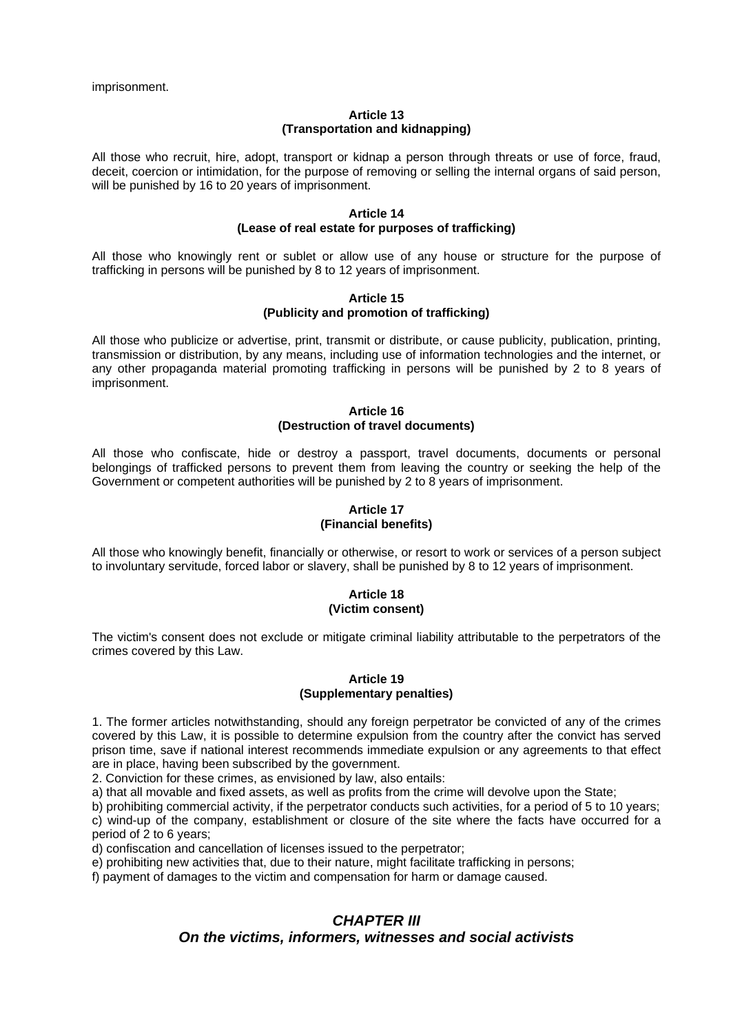imprisonment.

#### **Article 13 (Transportation and kidnapping)**

All those who recruit, hire, adopt, transport or kidnap a person through threats or use of force, fraud, deceit, coercion or intimidation, for the purpose of removing or selling the internal organs of said person, will be punished by 16 to 20 years of imprisonment.

#### **Article 14 (Lease of real estate for purposes of trafficking)**

All those who knowingly rent or sublet or allow use of any house or structure for the purpose of trafficking in persons will be punished by 8 to 12 years of imprisonment.

#### **Article 15 (Publicity and promotion of trafficking)**

All those who publicize or advertise, print, transmit or distribute, or cause publicity, publication, printing, transmission or distribution, by any means, including use of information technologies and the internet, or any other propaganda material promoting trafficking in persons will be punished by 2 to 8 years of imprisonment.

#### **Article 16 (Destruction of travel documents)**

All those who confiscate, hide or destroy a passport, travel documents, documents or personal belongings of trafficked persons to prevent them from leaving the country or seeking the help of the Government or competent authorities will be punished by 2 to 8 years of imprisonment.

#### **Article 17 (Financial benefits)**

All those who knowingly benefit, financially or otherwise, or resort to work or services of a person subject to involuntary servitude, forced labor or slavery, shall be punished by 8 to 12 years of imprisonment.

#### **Article 18 (Victim consent)**

The victim's consent does not exclude or mitigate criminal liability attributable to the perpetrators of the crimes covered by this Law.

## **Article 19 (Supplementary penalties)**

1. The former articles notwithstanding, should any foreign perpetrator be convicted of any of the crimes covered by this Law, it is possible to determine expulsion from the country after the convict has served prison time, save if national interest recommends immediate expulsion or any agreements to that effect are in place, having been subscribed by the government.

2. Conviction for these crimes, as envisioned by law, also entails:

a) that all movable and fixed assets, as well as profits from the crime will devolve upon the State;

b) prohibiting commercial activity, if the perpetrator conducts such activities, for a period of 5 to 10 years;

c) wind-up of the company, establishment or closure of the site where the facts have occurred for a period of 2 to 6 years;

d) confiscation and cancellation of licenses issued to the perpetrator;

e) prohibiting new activities that, due to their nature, might facilitate trafficking in persons;

f) payment of damages to the victim and compensation for harm or damage caused.

## *CHAPTER III*

## *On the victims, informers, witnesses and social activists*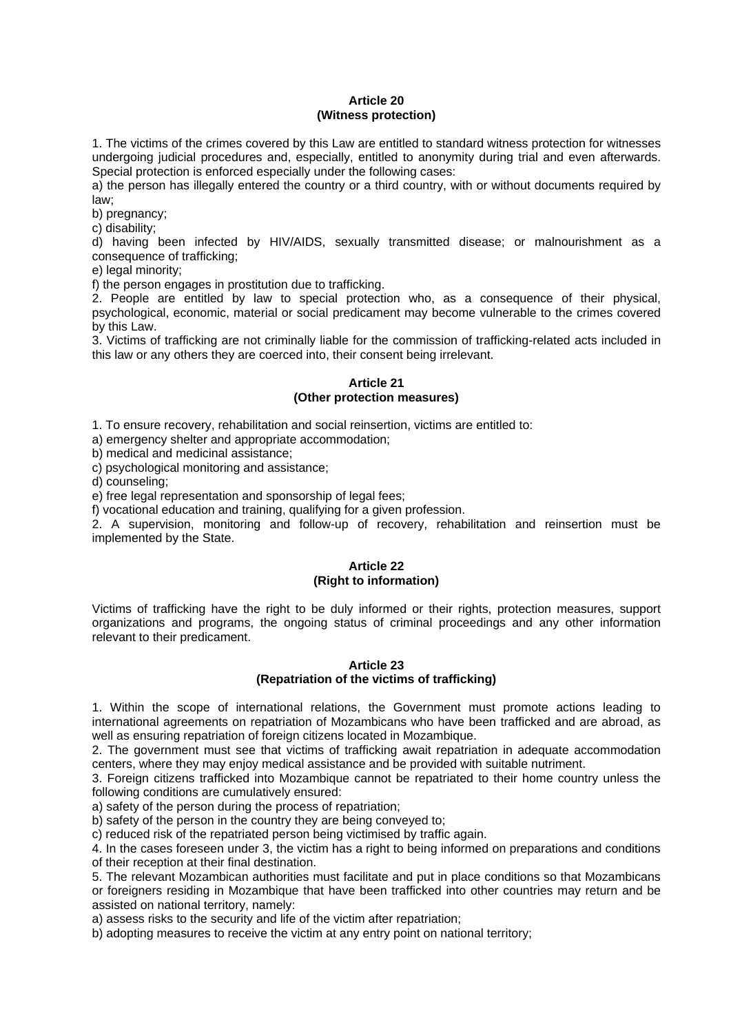## **Article 20 (Witness protection)**

1. The victims of the crimes covered by this Law are entitled to standard witness protection for witnesses undergoing judicial procedures and, especially, entitled to anonymity during trial and even afterwards. Special protection is enforced especially under the following cases:

a) the person has illegally entered the country or a third country, with or without documents required by law;

b) pregnancy;

c) disability;

d) having been infected by HIV/AIDS, sexually transmitted disease; or malnourishment as a consequence of trafficking;

e) legal minority;

f) the person engages in prostitution due to trafficking.

2. People are entitled by law to special protection who, as a consequence of their physical, psychological, economic, material or social predicament may become vulnerable to the crimes covered by this Law.

3. Victims of trafficking are not criminally liable for the commission of trafficking-related acts included in this law or any others they are coerced into, their consent being irrelevant.

#### **Article 21 (Other protection measures)**

1. To ensure recovery, rehabilitation and social reinsertion, victims are entitled to:

a) emergency shelter and appropriate accommodation;

b) medical and medicinal assistance;

c) psychological monitoring and assistance;

d) counseling;

e) free legal representation and sponsorship of legal fees;

f) vocational education and training, qualifying for a given profession.

2. A supervision, monitoring and follow-up of recovery, rehabilitation and reinsertion must be implemented by the State.

#### **Article 22 (Right to information)**

Victims of trafficking have the right to be duly informed or their rights, protection measures, support organizations and programs, the ongoing status of criminal proceedings and any other information relevant to their predicament.

#### **Article 23 (Repatriation of the victims of trafficking)**

1. Within the scope of international relations, the Government must promote actions leading to international agreements on repatriation of Mozambicans who have been trafficked and are abroad, as well as ensuring repatriation of foreign citizens located in Mozambique.

2. The government must see that victims of trafficking await repatriation in adequate accommodation centers, where they may enjoy medical assistance and be provided with suitable nutriment.

3. Foreign citizens trafficked into Mozambique cannot be repatriated to their home country unless the following conditions are cumulatively ensured:

a) safety of the person during the process of repatriation;

b) safety of the person in the country they are being conveyed to;

c) reduced risk of the repatriated person being victimised by traffic again.

4. In the cases foreseen under 3, the victim has a right to being informed on preparations and conditions of their reception at their final destination.

5. The relevant Mozambican authorities must facilitate and put in place conditions so that Mozambicans or foreigners residing in Mozambique that have been trafficked into other countries may return and be assisted on national territory, namely:

a) assess risks to the security and life of the victim after repatriation;

b) adopting measures to receive the victim at any entry point on national territory;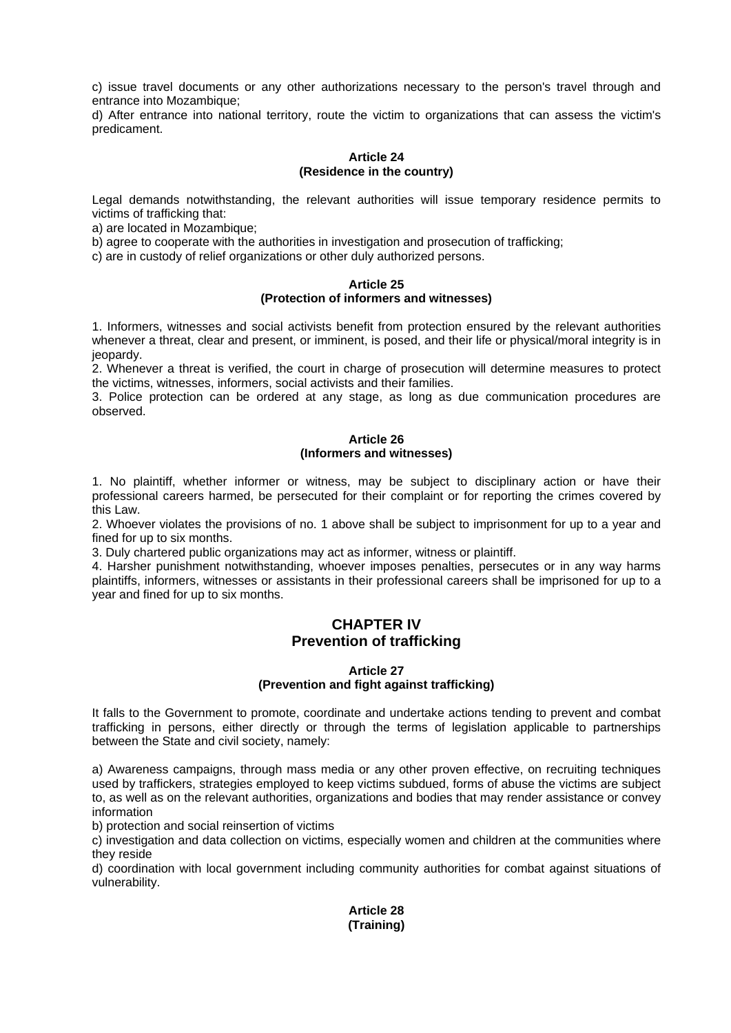c) issue travel documents or any other authorizations necessary to the person's travel through and entrance into Mozambique;

d) After entrance into national territory, route the victim to organizations that can assess the victim's predicament.

#### **Article 24 (Residence in the country)**

Legal demands notwithstanding, the relevant authorities will issue temporary residence permits to victims of trafficking that:

a) are located in Mozambique;

b) agree to cooperate with the authorities in investigation and prosecution of trafficking;

c) are in custody of relief organizations or other duly authorized persons.

#### **Article 25 (Protection of informers and witnesses)**

1. Informers, witnesses and social activists benefit from protection ensured by the relevant authorities whenever a threat, clear and present, or imminent, is posed, and their life or physical/moral integrity is in jeopardy.

2. Whenever a threat is verified, the court in charge of prosecution will determine measures to protect the victims, witnesses, informers, social activists and their families.

3. Police protection can be ordered at any stage, as long as due communication procedures are observed.

#### **Article 26 (Informers and witnesses)**

1. No plaintiff, whether informer or witness, may be subject to disciplinary action or have their professional careers harmed, be persecuted for their complaint or for reporting the crimes covered by this Law.

2. Whoever violates the provisions of no. 1 above shall be subject to imprisonment for up to a year and fined for up to six months.

3. Duly chartered public organizations may act as informer, witness or plaintiff.

4. Harsher punishment notwithstanding, whoever imposes penalties, persecutes or in any way harms plaintiffs, informers, witnesses or assistants in their professional careers shall be imprisoned for up to a year and fined for up to six months.

## **CHAPTER IV Prevention of trafficking**

## **Article 27 (Prevention and fight against trafficking)**

It falls to the Government to promote, coordinate and undertake actions tending to prevent and combat trafficking in persons, either directly or through the terms of legislation applicable to partnerships between the State and civil society, namely:

a) Awareness campaigns, through mass media or any other proven effective, on recruiting techniques used by traffickers, strategies employed to keep victims subdued, forms of abuse the victims are subject to, as well as on the relevant authorities, organizations and bodies that may render assistance or convey information

b) protection and social reinsertion of victims

c) investigation and data collection on victims, especially women and children at the communities where they reside

d) coordination with local government including community authorities for combat against situations of vulnerability.

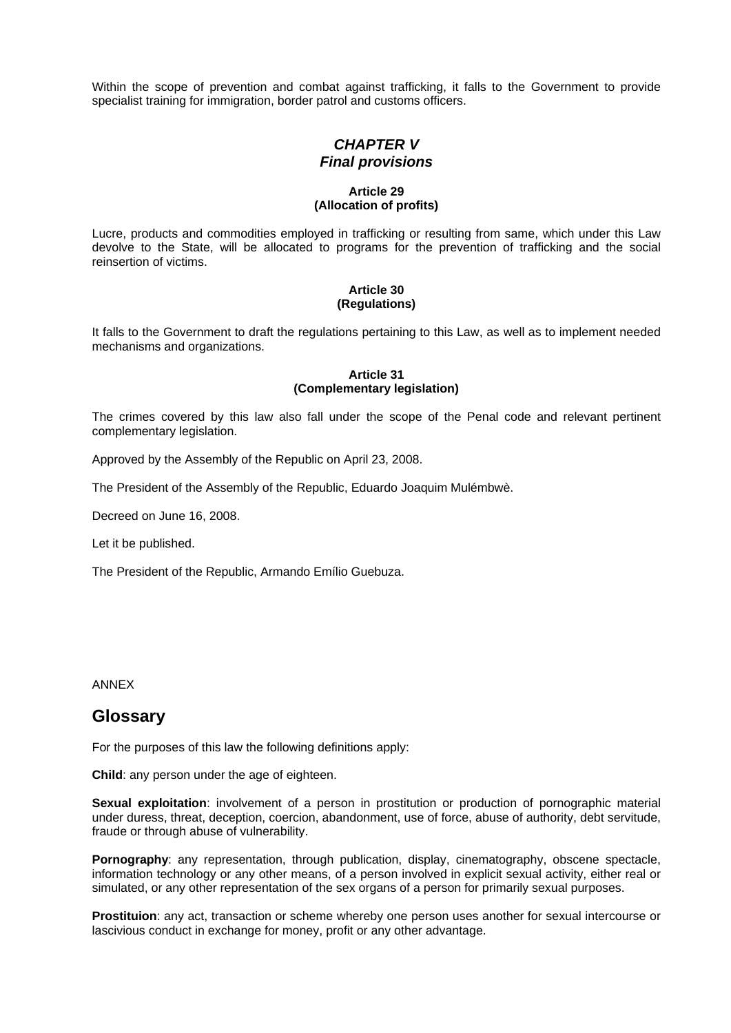Within the scope of prevention and combat against trafficking, it falls to the Government to provide specialist training for immigration, border patrol and customs officers.

## *CHAPTER V Final provisions*

#### **Article 29 (Allocation of profits)**

Lucre, products and commodities employed in trafficking or resulting from same, which under this Law devolve to the State, will be allocated to programs for the prevention of trafficking and the social reinsertion of victims.

#### **Article 30 (Regulations)**

It falls to the Government to draft the regulations pertaining to this Law, as well as to implement needed mechanisms and organizations.

#### **Article 31 (Complementary legislation)**

The crimes covered by this law also fall under the scope of the Penal code and relevant pertinent complementary legislation.

Approved by the Assembly of the Republic on April 23, 2008.

The President of the Assembly of the Republic, Eduardo Joaquim Mulémbwè.

Decreed on June 16, 2008.

Let it be published.

The President of the Republic, Armando Emílio Guebuza.

ANNEX

# **Glossary**

For the purposes of this law the following definitions apply:

**Child**: any person under the age of eighteen.

**Sexual exploitation**: involvement of a person in prostitution or production of pornographic material under duress, threat, deception, coercion, abandonment, use of force, abuse of authority, debt servitude, fraude or through abuse of vulnerability.

**Pornography**: any representation, through publication, display, cinematography, obscene spectacle, information technology or any other means, of a person involved in explicit sexual activity, either real or simulated, or any other representation of the sex organs of a person for primarily sexual purposes.

**Prostituion**: any act, transaction or scheme whereby one person uses another for sexual intercourse or lascivious conduct in exchange for money, profit or any other advantage.